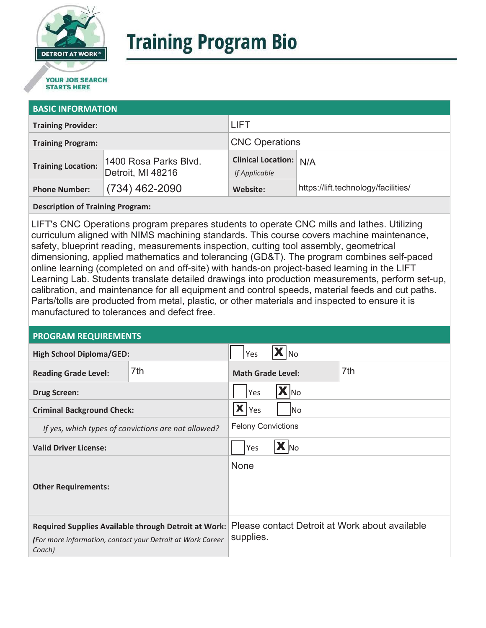

# **Training Program Bio**

## **STARTS HERE**

#### **BASIC INFORMATION**

| <b>Training Provider:</b> |                                            | <b>LIFT</b>                                    |                                     |  |
|---------------------------|--------------------------------------------|------------------------------------------------|-------------------------------------|--|
| <b>Training Program:</b>  |                                            | <b>CNC Operations</b>                          |                                     |  |
| <b>Training Location:</b> | 1400 Rosa Parks Blvd.<br>Detroit, MI 48216 | <b>Clinical Location: N/A</b><br>If Applicable |                                     |  |
| <b>Phone Number:</b>      | $(734)$ 462-2090                           | Website:                                       | https://lift.technology/facilities/ |  |

**Description of Training Program:** 

LIFT's CNC Operations program prepares students to operate CNC mills and lathes. Utilizing curriculum aligned with NIMS machining standards. This course covers machine maintenance, safety, blueprint reading, measurements inspection, cutting tool assembly, geometrical dimensioning, applied mathematics and tolerancing (GD&T). The program combines self-paced online learning (completed on and off-site) with hands-on project-based learning in the LIFT Learning Lab. Students translate detailed drawings into production measurements, perform set-up, calibration, and maintenance for all equipment and control speeds, material feeds and cut paths. Parts/tolls are producted from metal, plastic, or other materials and inspected to ensure it is manufactured to tolerances and defect free.

#### **PROGRAM REQUIREMENTS**

| <b>High School Diploma/GED:</b>                                                                                              |     | Yes                                                         | l No |     |
|------------------------------------------------------------------------------------------------------------------------------|-----|-------------------------------------------------------------|------|-----|
| <b>Reading Grade Level:</b>                                                                                                  | 7th | <b>Math Grade Level:</b>                                    |      | 7th |
| <b>Drug Screen:</b>                                                                                                          |     | $\mathbf{X}$ No<br>Yes                                      |      |     |
| <b>Criminal Background Check:</b>                                                                                            |     | $\mathbf{X}$ $ _{\text{Yes}}$<br>lNo                        |      |     |
| If yes, which types of convictions are not allowed?                                                                          |     | <b>Felony Convictions</b>                                   |      |     |
| <b>Valid Driver License:</b>                                                                                                 |     | $\mathbf{X}$ No<br>Yes                                      |      |     |
| <b>Other Requirements:</b>                                                                                                   |     | None                                                        |      |     |
| Required Supplies Available through Detroit at Work:<br>(For more information, contact your Detroit at Work Career<br>Coach) |     | Please contact Detroit at Work about available<br>supplies. |      |     |